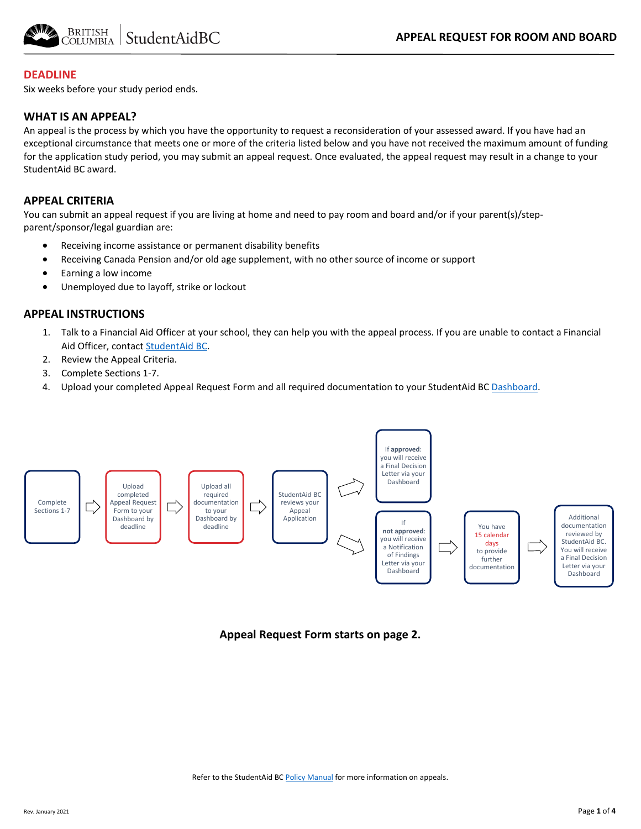

#### **DEADLINE**

Six weeks before your study period ends.

#### **WHAT IS AN APPEAL?**

An appeal is the process by which you have the opportunity to request a reconsideration of your assessed award. If you have had an exceptional circumstance that meets one or more of the criteria listed below and you have not received the maximum amount of funding for the application study period, you may submit an appeal request. Once evaluated, the appeal request may result in a change to your StudentAid BC award.

#### **APPEAL CRITERIA**

You can submit an appeal request if you are living at home and need to pay room and board and/or if your parent(s)/stepparent/sponsor/legal guardian are:

- Receiving income assistance or permanent disability benefits
- Receiving Canada Pension and/or old age supplement, with no other source of income or support
- Earning a low income
- Unemployed due to layoff, strike or lockout

#### **APPEAL INSTRUCTIONS**

- 1. Talk to a Financial Aid Officer at your school, they can help you with the appeal process. If you are unable to contact a Financial Aid Officer, contac[t StudentAid BC.](https://studentaidbc.ca/contact-information)
- 2. Review the Appeal Criteria.
- 3. Complete Sections 1-7.
- 4. Upload your completed Appeal Request Form and all required documentation to your StudentAid BC [Dashboard.](https://studentaidbc.ca/dashboard)



**Appeal Request Form starts on page 2.**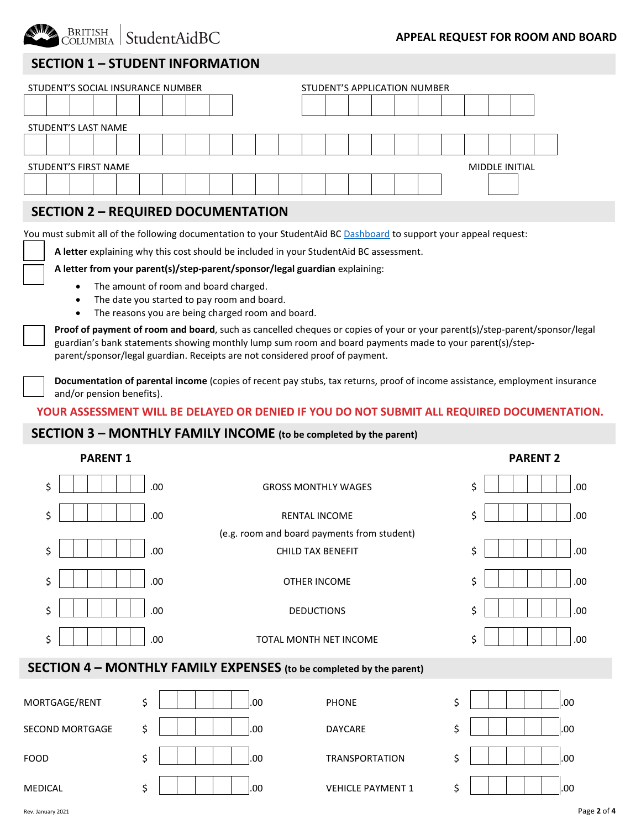

#### **APPEAL REQUEST FOR ROOM AND BOARD**

# **SECTION 1 – STUDENT INFORMATION ON appeals on appeal on appeal on appeal on appeal on appeal on appeal on appeal**

| STUDENT'S SOCIAL INSURANCE NUMBER |                                                      |  |  |  |  |  |  |  |  |  | STUDENT'S APPLICATION NUMBER |  |  |  |  |  |  |  |  |  |  |
|-----------------------------------|------------------------------------------------------|--|--|--|--|--|--|--|--|--|------------------------------|--|--|--|--|--|--|--|--|--|--|
|                                   |                                                      |  |  |  |  |  |  |  |  |  |                              |  |  |  |  |  |  |  |  |  |  |
| STUDENT'S LAST NAME               |                                                      |  |  |  |  |  |  |  |  |  |                              |  |  |  |  |  |  |  |  |  |  |
|                                   |                                                      |  |  |  |  |  |  |  |  |  |                              |  |  |  |  |  |  |  |  |  |  |
|                                   | <b>STUDENT'S FIRST NAME</b><br><b>MIDDLE INITIAL</b> |  |  |  |  |  |  |  |  |  |                              |  |  |  |  |  |  |  |  |  |  |
|                                   |                                                      |  |  |  |  |  |  |  |  |  |                              |  |  |  |  |  |  |  |  |  |  |

## **SECTION 2 – REQUIRED DOCUMENTATION**

You must submit all of the following documentation to your StudentAid BC [Dashboard](https://studentaidbc.ca/dashboard) to support your appeal request:

**A letter** explaining why this cost should be included in your StudentAid BC assessment.

#### **A letter from your parent(s)/step-parent/sponsor/legal guardian** explaining:

- The amount of room and board charged.
- The date you started to pay room and board.
- The reasons you are being charged room and board.

**Proof of payment of room and board**, such as cancelled cheques or copies of your or your parent(s)/step-parent/sponsor/legal guardian's bank statements showing monthly lump sum room and board payments made to your parent(s)/stepparent/sponsor/legal guardian. Receipts are not considered proof of payment.

**Documentation of parental income** (copies of recent pay stubs, tax returns, proof of income assistance, employment insurance and/or pension benefits).

#### **YOUR ASSESSMENT WILL BE DELAYED OR DENIED IF YOU DO NOT SUBMIT ALL REQUIRED DOCUMENTATION.**

# **SECTION 3 – MONTHLY FAMILY INCOME (to be completed by the parent)**

| <b>PARENT 1</b>                   |                                                                     | <b>PARENT 2</b> |
|-----------------------------------|---------------------------------------------------------------------|-----------------|
| \$<br>.00                         | <b>GROSS MONTHLY WAGES</b>                                          | \$<br>.00       |
| \$<br>.00                         | <b>RENTAL INCOME</b>                                                | \$<br>.00       |
|                                   | (e.g. room and board payments from student)                         |                 |
| \$<br>.00                         | <b>CHILD TAX BENEFIT</b>                                            | \$<br>.00       |
| \$<br>.00                         | OTHER INCOME                                                        | Ś.<br>.00.      |
| \$<br>.00                         | <b>DEDUCTIONS</b>                                                   | Ś.<br>.00       |
| \$<br>.00                         | TOTAL MONTH NET INCOME                                              | Ś<br>.00        |
|                                   | SECTION 4 - MONTHLY FAMILY EXPENSES (to be completed by the parent) |                 |
| \$<br><b><i>MORTGAGE/RENT</i></b> | .00<br><b>PHONE</b>                                                 | \$<br>.00       |

| MORTGAGE/RENT          | .00.<br>∽ | <b>PHONE</b>             | .00<br>¢ |
|------------------------|-----------|--------------------------|----------|
| <b>SECOND MORTGAGE</b> | .00<br>¢  | DAYCARE                  | .00<br>¢ |
| <b>FOOD</b>            | ∼<br>.00  | <b>TRANSPORTATION</b>    | .00<br>¢ |
| MEDICAL                | .00.<br>∽ | <b>VEHICLE PAYMENT 1</b> | .00<br>¢ |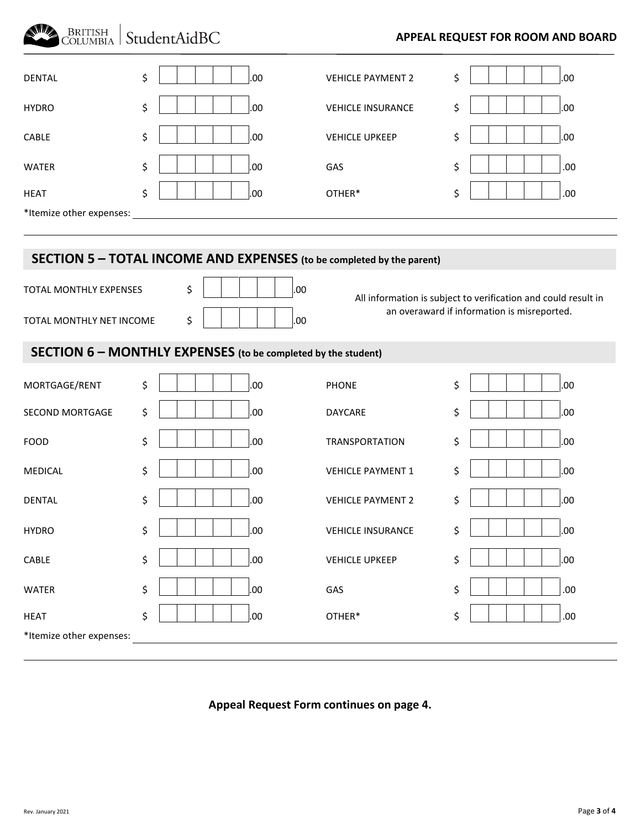# BRITISH StudentAidBC

# **APPEAL REQUEST FOR ROOM AND BOARD**

| <b>DENTAL</b>            | \$<br>.00                                                             | <b>VEHICLE PAYMENT 2</b> | \$<br>.00                                                                                                     |  |  |  |  |  |
|--------------------------|-----------------------------------------------------------------------|--------------------------|---------------------------------------------------------------------------------------------------------------|--|--|--|--|--|
| <b>HYDRO</b>             | \$<br>.00                                                             | <b>VEHICLE INSURANCE</b> | \$<br>.00                                                                                                     |  |  |  |  |  |
| CABLE                    | \$<br>.00                                                             | <b>VEHICLE UPKEEP</b>    | \$<br>.00                                                                                                     |  |  |  |  |  |
| <b>WATER</b>             | \$<br>.00                                                             | GAS                      | \$<br>.00                                                                                                     |  |  |  |  |  |
| <b>HEAT</b>              | \$<br>.00                                                             | OTHER*                   | \$<br>.00                                                                                                     |  |  |  |  |  |
| *Itemize other expenses: |                                                                       |                          |                                                                                                               |  |  |  |  |  |
|                          |                                                                       |                          |                                                                                                               |  |  |  |  |  |
|                          | SECTION 5 - TOTAL INCOME AND EXPENSES (to be completed by the parent) |                          |                                                                                                               |  |  |  |  |  |
| TOTAL MONTHLY EXPENSES   | \$<br>.00                                                             |                          | All information is subject to verification and could result in<br>an overaward if information is misreported. |  |  |  |  |  |
| TOTAL MONTHLY NET INCOME | \$<br>.00                                                             |                          |                                                                                                               |  |  |  |  |  |
|                          | <b>SECTION 6 - MONTHLY EXPENSES</b> (to be completed by the student)  |                          |                                                                                                               |  |  |  |  |  |
| MORTGAGE/RENT            | \$<br>.00                                                             | <b>PHONE</b>             | \$<br>.00                                                                                                     |  |  |  |  |  |
| SECOND MORTGAGE          | \$<br>.00                                                             | DAYCARE                  | \$<br>.00                                                                                                     |  |  |  |  |  |
| <b>FOOD</b>              | \$<br>.00                                                             | <b>TRANSPORTATION</b>    | \$<br>.00                                                                                                     |  |  |  |  |  |
| <b>MEDICAL</b>           | \$<br>.00                                                             | <b>VEHICLE PAYMENT 1</b> | \$<br>.00                                                                                                     |  |  |  |  |  |
| <b>DENTAL</b>            | \$<br>.00                                                             | <b>VEHICLE PAYMENT 2</b> | \$<br>.00                                                                                                     |  |  |  |  |  |
| <b>HYDRO</b>             | \$<br>.00                                                             | <b>VEHICLE INSURANCE</b> | \$<br>.00                                                                                                     |  |  |  |  |  |
| CABLE                    | \$<br>.00                                                             | <b>VEHICLE UPKEEP</b>    | \$<br>.00                                                                                                     |  |  |  |  |  |
| <b>WATER</b>             | \$<br>.00.                                                            | GAS                      | \$<br>.00                                                                                                     |  |  |  |  |  |
| <b>HEAT</b>              | \$<br>.00.                                                            | OTHER*                   | \$<br>.00                                                                                                     |  |  |  |  |  |

\*Itemize other expenses:

# **Appeal Request Form continues on page 4.**